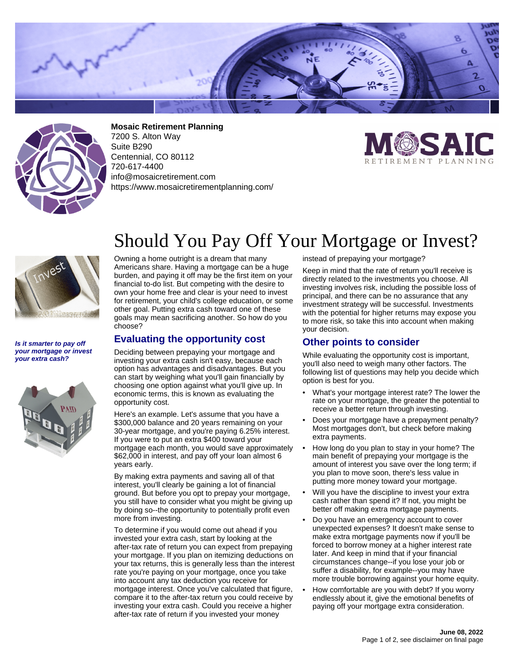



**Mosaic Retirement Planning** 7200 S. Alton Way Suite B290 Centennial, CO 80112 720-617-4400 info@mosaicretirement.com https://www.mosaicretirementplanning.com/





#### **Is it smarter to pay off your mortgage or invest your extra cash?**



# Should You Pay Off Your Mortgage or Invest?

Owning a home outright is a dream that many Americans share. Having a mortgage can be a huge burden, and paying it off may be the first item on your financial to-do list. But competing with the desire to own your home free and clear is your need to invest for retirement, your child's college education, or some other goal. Putting extra cash toward one of these goals may mean sacrificing another. So how do you choose?

### **Evaluating the opportunity cost**

Deciding between prepaying your mortgage and investing your extra cash isn't easy, because each option has advantages and disadvantages. But you can start by weighing what you'll gain financially by choosing one option against what you'll give up. In economic terms, this is known as evaluating the opportunity cost.

Here's an example. Let's assume that you have a \$300,000 balance and 20 years remaining on your 30-year mortgage, and you're paying 6.25% interest. If you were to put an extra \$400 toward your mortgage each month, you would save approximately \$62,000 in interest, and pay off your loan almost 6 years early.

By making extra payments and saving all of that interest, you'll clearly be gaining a lot of financial ground. But before you opt to prepay your mortgage, you still have to consider what you might be giving up by doing so--the opportunity to potentially profit even more from investing.

To determine if you would come out ahead if you invested your extra cash, start by looking at the after-tax rate of return you can expect from prepaying your mortgage. If you plan on itemizing deductions on your tax returns, this is generally less than the interest rate you're paying on your mortgage, once you take into account any tax deduction you receive for mortgage interest. Once you've calculated that figure, compare it to the after-tax return you could receive by investing your extra cash. Could you receive a higher after-tax rate of return if you invested your money

instead of prepaying your mortgage?

Keep in mind that the rate of return you'll receive is directly related to the investments you choose. All investing involves risk, including the possible loss of principal, and there can be no assurance that any investment strategy will be successful. Investments with the potential for higher returns may expose you to more risk, so take this into account when making your decision.

## **Other points to consider**

While evaluating the opportunity cost is important, you'll also need to weigh many other factors. The following list of questions may help you decide which option is best for you.

- What's your mortgage interest rate? The lower the rate on your mortgage, the greater the potential to receive a better return through investing.
- Does your mortgage have a prepayment penalty? Most mortgages don't, but check before making extra payments.
- How long do you plan to stay in your home? The main benefit of prepaying your mortgage is the amount of interest you save over the long term; if you plan to move soon, there's less value in putting more money toward your mortgage.
- Will you have the discipline to invest your extra cash rather than spend it? If not, you might be better off making extra mortgage payments.
- Do you have an emergency account to cover unexpected expenses? It doesn't make sense to make extra mortgage payments now if you'll be forced to borrow money at a higher interest rate later. And keep in mind that if your financial circumstances change--if you lose your job or suffer a disability, for example--you may have more trouble borrowing against your home equity.
- How comfortable are you with debt? If you worry endlessly about it, give the emotional benefits of paying off your mortgage extra consideration.